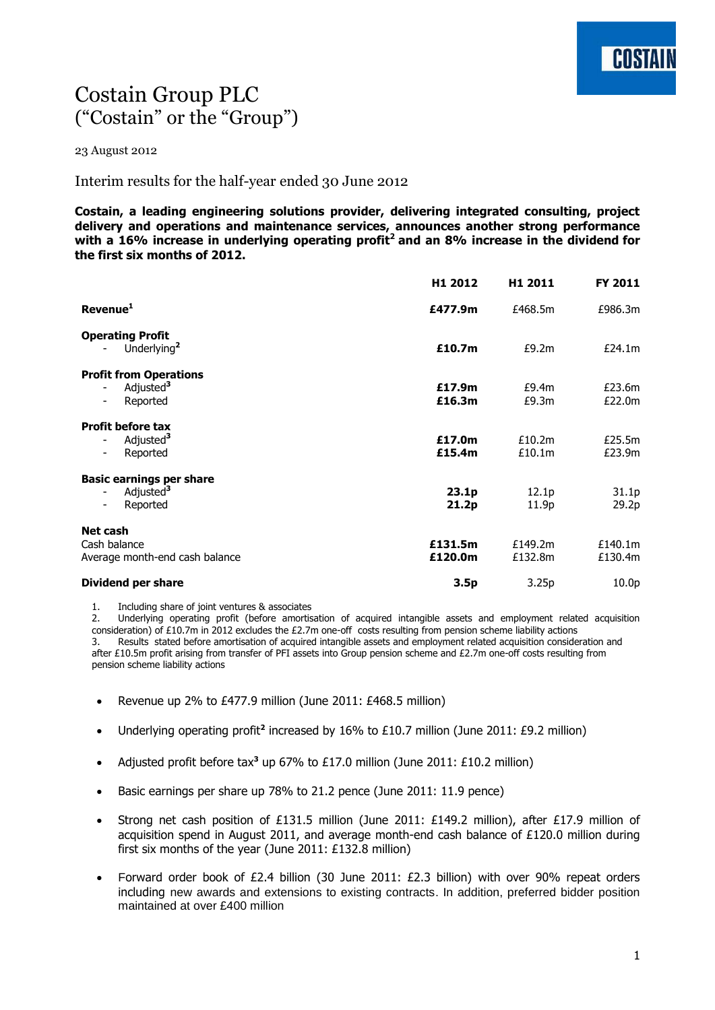

# Costain Group PLC ("Costain" or the "Group")

23 August 2012

# Interim results for the half-year ended 30 June 2012

**Costain, a leading engineering solutions provider, delivering integrated consulting, project delivery and operations and maintenance services, announces another strong performance with a 16% increase in underlying operating profit<sup>2</sup> and an 8% increase in the dividend for the first six months of 2012.**

|                                                                                                                       | H1 2012            | H1 2011            | FY 2011            |
|-----------------------------------------------------------------------------------------------------------------------|--------------------|--------------------|--------------------|
| Revenue <sup>1</sup>                                                                                                  | £477.9m            | £468.5m            | £986.3m            |
| <b>Operating Profit</b><br>Underlying <sup>2</sup>                                                                    | £10.7m             | £9.2m              | £24.1m             |
| <b>Profit from Operations</b><br>Adjusted <sup>3</sup><br>Reported<br>$\overline{\phantom{a}}$                        | £17.9m<br>£16.3m   | £9.4m<br>£9.3m     | £23.6m<br>£22.0m   |
| <b>Profit before tax</b><br>Adjusted <sup>3</sup><br>$\overline{\phantom{a}}$<br>Reported<br>$\overline{\phantom{a}}$ | £17.0m<br>£15.4m   | £10.2m<br>£10.1m   | £25.5m<br>£23.9m   |
| <b>Basic earnings per share</b><br>Adjusted <sup>3</sup><br>Reported<br>$\overline{\phantom{a}}$                      | 23.1p<br>21.2p     | 12.1p<br>11.9p     | 31.1p<br>29.2p     |
| Net cash<br>Cash balance<br>Average month-end cash balance                                                            | £131.5m<br>£120.0m | £149.2m<br>£132.8m | £140.1m<br>£130.4m |
| Dividend per share                                                                                                    | 3.5 <sub>p</sub>   | 3.25 <sub>p</sub>  | 10.0 <sub>p</sub>  |

1. Including share of joint ventures & associates

2. Underlying operating profit (before amortisation of acquired intangible assets and employment related acquisition consideration) of £10.7m in 2012 excludes the £2.7m one-off costs resulting from pension scheme liability actions 3. Results stated before amortisation of acquired intangible assets and employment related acquisition consideration and after £10.5m profit arising from transfer of PFI assets into Group pension scheme and £2.7m one-off costs resulting from pension scheme liability actions

- Revenue up 2% to £477.9 million (June 2011: £468.5 million)
- Underlying operating profit<sup>2</sup> increased by 16% to £10.7 million (June 2011: £9.2 million)
- Adjusted profit before tax**<sup>3</sup>** up 67% to £17.0 million (June 2011: £10.2 million)
- Basic earnings per share up 78% to 21.2 pence (June 2011: 11.9 pence)
- Strong net cash position of £131.5 million (June 2011: £149.2 million), after £17.9 million of acquisition spend in August 2011, and average month-end cash balance of £120.0 million during first six months of the year (June 2011: £132.8 million)
- Forward order book of £2.4 billion (30 June 2011: £2.3 billion) with over 90% repeat orders including new awards and extensions to existing contracts. In addition, preferred bidder position maintained at over £400 million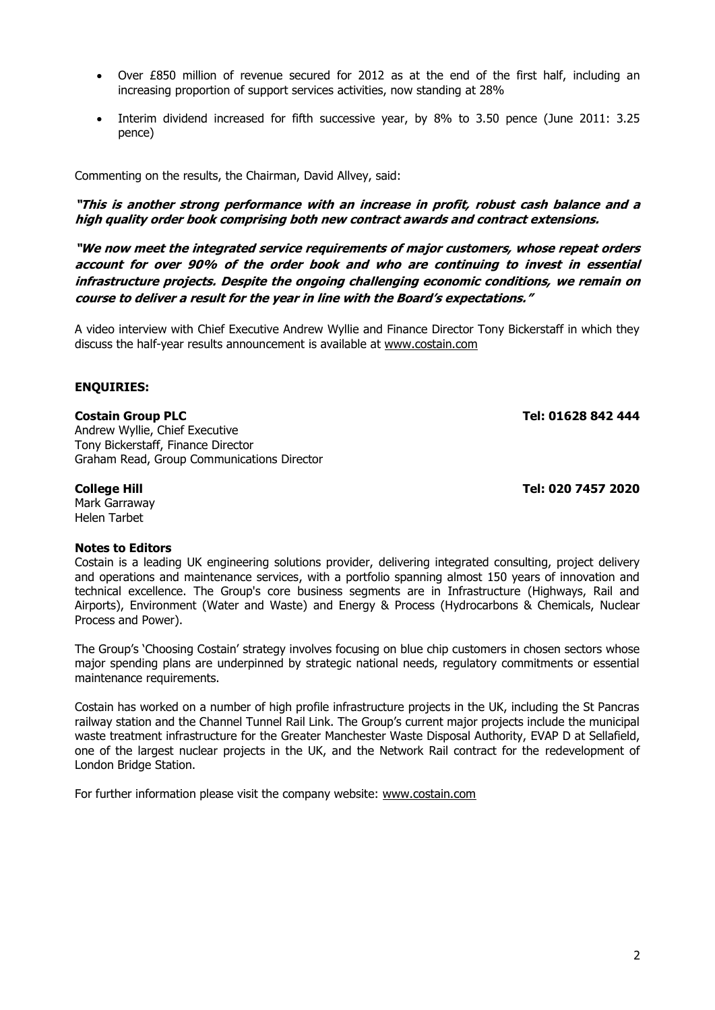- Over £850 million of revenue secured for 2012 as at the end of the first half, including an increasing proportion of support services activities, now standing at 28%
- Interim dividend increased for fifth successive year, by 8% to 3.50 pence (June 2011: 3.25 pence)

Commenting on the results, the Chairman, David Allvey, said:

**"This is another strong performance with an increase in profit, robust cash balance and a high quality order book comprising both new contract awards and contract extensions.** 

**"We now meet the integrated service requirements of major customers, whose repeat orders account for over 90% of the order book and who are continuing to invest in essential infrastructure projects. Despite the ongoing challenging economic conditions, we remain on course to deliver a result for the year in line with the Board's expectations."**

A video interview with Chief Executive Andrew Wyllie and Finance Director Tony Bickerstaff in which they discuss the half-year results announcement is available at [www.costain.com](http://www.costain.com/)

# **ENQUIRIES:**

**Costain Group PLC Tel: 01628 842 444**

Andrew Wyllie, Chief Executive Tony Bickerstaff, Finance Director Graham Read, Group Communications Director

Mark Garraway Helen Tarbet

**College Hill Tel: 020 7457 2020**

# **Notes to Editors**

Costain is a leading UK engineering solutions provider, delivering integrated consulting, project delivery and operations and maintenance services, with a portfolio spanning almost 150 years of innovation and technical excellence. The Group's core business segments are in Infrastructure (Highways, Rail and Airports), Environment (Water and Waste) and Energy & Process (Hydrocarbons & Chemicals, Nuclear Process and Power).

The Group's 'Choosing Costain' strategy involves focusing on blue chip customers in chosen sectors whose major spending plans are underpinned by strategic national needs, regulatory commitments or essential maintenance requirements.

Costain has worked on a number of high profile infrastructure projects in the UK, including the St Pancras railway station and the Channel Tunnel Rail Link. The Group's current major projects include the municipal waste treatment infrastructure for the Greater Manchester Waste Disposal Authority, EVAP D at Sellafield, one of the largest nuclear projects in the UK, and the Network Rail contract for the redevelopment of London Bridge Station.

For further information please visit the company website: [www.costain.com](http://www.poseidonplc.com/)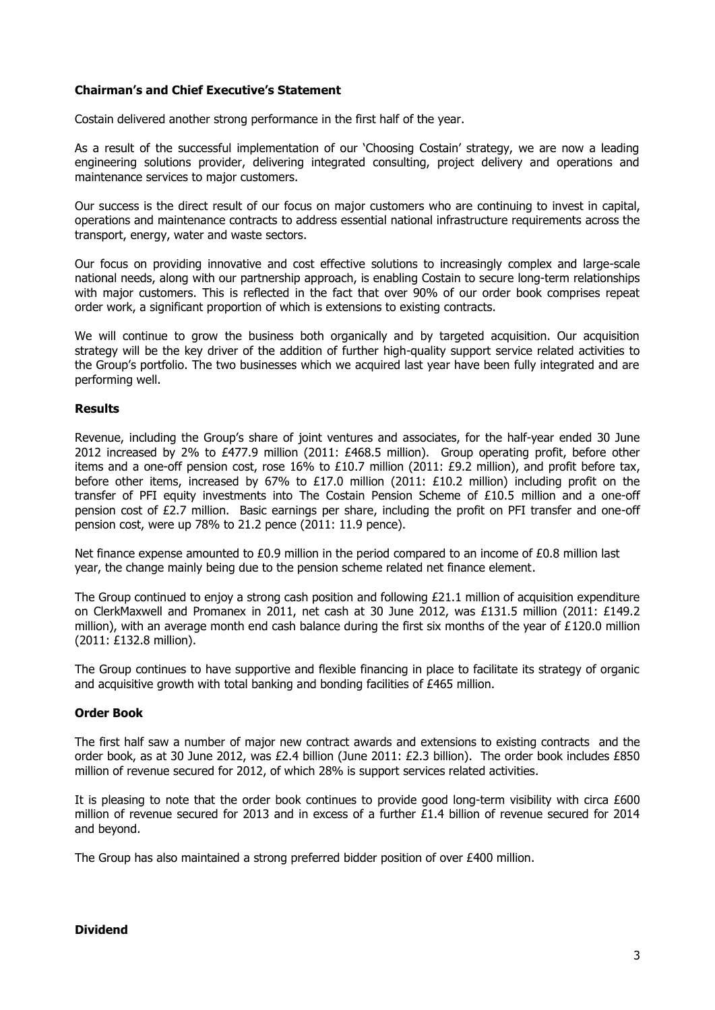# **Chairman's and Chief Executive's Statement**

Costain delivered another strong performance in the first half of the year.

As a result of the successful implementation of our 'Choosing Costain' strategy, we are now a leading engineering solutions provider, delivering integrated consulting, project delivery and operations and maintenance services to major customers.

Our success is the direct result of our focus on major customers who are continuing to invest in capital, operations and maintenance contracts to address essential national infrastructure requirements across the transport, energy, water and waste sectors.

Our focus on providing innovative and cost effective solutions to increasingly complex and large-scale national needs, along with our partnership approach, is enabling Costain to secure long-term relationships with major customers. This is reflected in the fact that over 90% of our order book comprises repeat order work, a significant proportion of which is extensions to existing contracts.

We will continue to grow the business both organically and by targeted acquisition. Our acquisition strategy will be the key driver of the addition of further high-quality support service related activities to the Group's portfolio. The two businesses which we acquired last year have been fully integrated and are performing well.

# **Results**

Revenue, including the Group's share of joint ventures and associates, for the half-year ended 30 June 2012 increased by 2% to £477.9 million (2011: £468.5 million). Group operating profit, before other items and a one-off pension cost, rose 16% to £10.7 million (2011: £9.2 million), and profit before tax, before other items, increased by 67% to £17.0 million (2011: £10.2 million) including profit on the transfer of PFI equity investments into The Costain Pension Scheme of £10.5 million and a one-off pension cost of £2.7 million. Basic earnings per share, including the profit on PFI transfer and one-off pension cost, were up 78% to 21.2 pence (2011: 11.9 pence).

Net finance expense amounted to £0.9 million in the period compared to an income of £0.8 million last year, the change mainly being due to the pension scheme related net finance element.

The Group continued to enjoy a strong cash position and following £21.1 million of acquisition expenditure on ClerkMaxwell and Promanex in 2011, net cash at 30 June 2012, was £131.5 million (2011: £149.2 million), with an average month end cash balance during the first six months of the year of  $£120.0$  million (2011: £132.8 million).

The Group continues to have supportive and flexible financing in place to facilitate its strategy of organic and acquisitive growth with total banking and bonding facilities of £465 million.

### **Order Book**

The first half saw a number of major new contract awards and extensions to existing contracts and the order book, as at 30 June 2012, was £2.4 billion (June 2011: £2.3 billion). The order book includes £850 million of revenue secured for 2012, of which 28% is support services related activities.

It is pleasing to note that the order book continues to provide good long-term visibility with circa £600 million of revenue secured for 2013 and in excess of a further £1.4 billion of revenue secured for 2014 and beyond.

The Group has also maintained a strong preferred bidder position of over £400 million.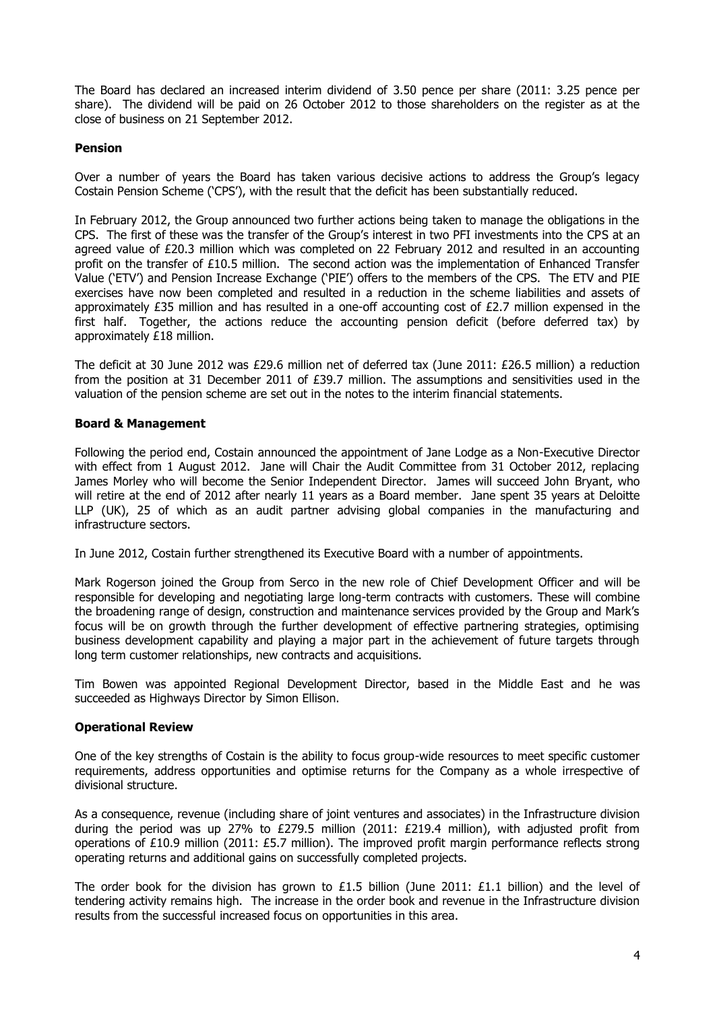The Board has declared an increased interim dividend of 3.50 pence per share (2011: 3.25 pence per share). The dividend will be paid on 26 October 2012 to those shareholders on the register as at the close of business on 21 September 2012.

# **Pension**

Over a number of years the Board has taken various decisive actions to address the Group's legacy Costain Pension Scheme ('CPS'), with the result that the deficit has been substantially reduced.

In February 2012, the Group announced two further actions being taken to manage the obligations in the CPS. The first of these was the transfer of the Group's interest in two PFI investments into the CPS at an agreed value of £20.3 million which was completed on 22 February 2012 and resulted in an accounting profit on the transfer of £10.5 million. The second action was the implementation of Enhanced Transfer Value ('ETV') and Pension Increase Exchange ('PIE') offers to the members of the CPS. The ETV and PIE exercises have now been completed and resulted in a reduction in the scheme liabilities and assets of approximately £35 million and has resulted in a one-off accounting cost of £2.7 million expensed in the first half. Together, the actions reduce the accounting pension deficit (before deferred tax) by approximately £18 million.

The deficit at 30 June 2012 was £29.6 million net of deferred tax (June 2011: £26.5 million) a reduction from the position at 31 December 2011 of £39.7 million. The assumptions and sensitivities used in the valuation of the pension scheme are set out in the notes to the interim financial statements.

# **Board & Management**

Following the period end, Costain announced the appointment of Jane Lodge as a Non-Executive Director with effect from 1 August 2012. Jane will Chair the Audit Committee from 31 October 2012, replacing James Morley who will become the Senior Independent Director. James will succeed John Bryant, who will retire at the end of 2012 after nearly 11 years as a Board member. Jane spent 35 years at Deloitte LLP (UK), 25 of which as an audit partner advising global companies in the manufacturing and infrastructure sectors.

In June 2012, Costain further strengthened its Executive Board with a number of appointments.

Mark Rogerson joined the Group from Serco in the new role of Chief Development Officer and will be responsible for developing and negotiating large long-term contracts with customers. These will combine the broadening range of design, construction and maintenance services provided by the Group and Mark's focus will be on growth through the further development of effective partnering strategies, optimising business development capability and playing a major part in the achievement of future targets through long term customer relationships, new contracts and acquisitions.

Tim Bowen was appointed Regional Development Director, based in the Middle East and he was succeeded as Highways Director by Simon Ellison.

# **Operational Review**

One of the key strengths of Costain is the ability to focus group-wide resources to meet specific customer requirements, address opportunities and optimise returns for the Company as a whole irrespective of divisional structure.

As a consequence, revenue (including share of joint ventures and associates) in the Infrastructure division during the period was up 27% to £279.5 million (2011: £219.4 million), with adjusted profit from operations of £10.9 million (2011: £5.7 million). The improved profit margin performance reflects strong operating returns and additional gains on successfully completed projects.

The order book for the division has grown to £1.5 billion (June 2011: £1.1 billion) and the level of tendering activity remains high. The increase in the order book and revenue in the Infrastructure division results from the successful increased focus on opportunities in this area.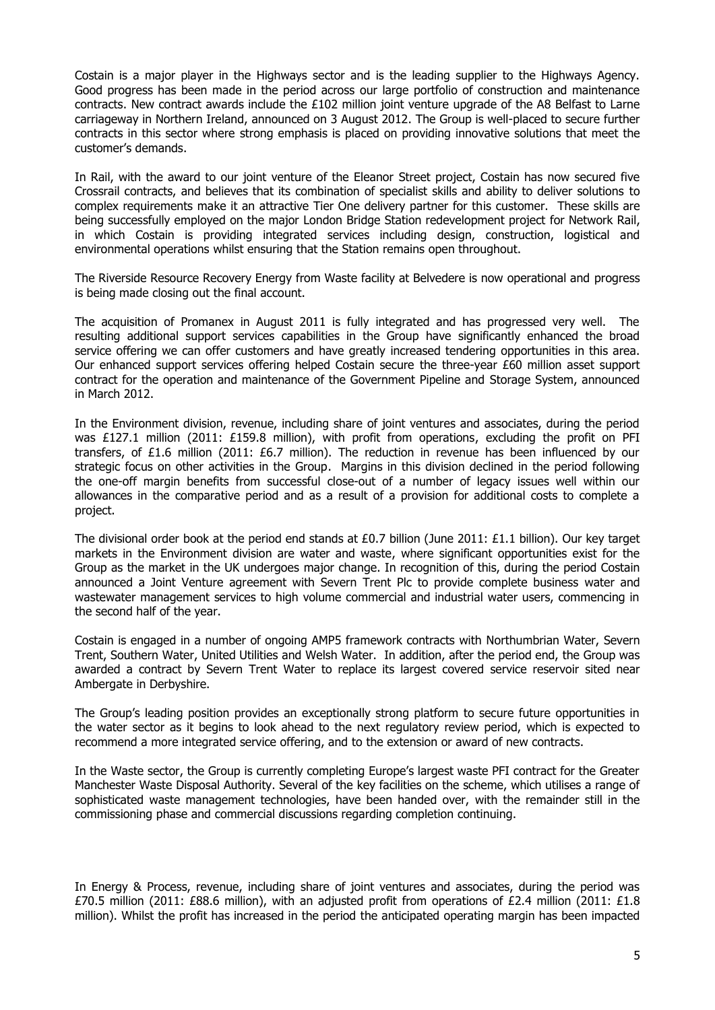Costain is a major player in the Highways sector and is the leading supplier to the Highways Agency. Good progress has been made in the period across our large portfolio of construction and maintenance contracts. New contract awards include the  $£102$  million joint venture upgrade of the A8 Belfast to Larne carriageway in Northern Ireland, announced on 3 August 2012. The Group is well-placed to secure further contracts in this sector where strong emphasis is placed on providing innovative solutions that meet the customer's demands.

In Rail, with the award to our joint venture of the Eleanor Street project, Costain has now secured five Crossrail contracts, and believes that its combination of specialist skills and ability to deliver solutions to complex requirements make it an attractive Tier One delivery partner for this customer. These skills are being successfully employed on the major London Bridge Station redevelopment project for Network Rail, in which Costain is providing integrated services including design, construction, logistical and environmental operations whilst ensuring that the Station remains open throughout.

The Riverside Resource Recovery Energy from Waste facility at Belvedere is now operational and progress is being made closing out the final account.

The acquisition of Promanex in August 2011 is fully integrated and has progressed very well. The resulting additional support services capabilities in the Group have significantly enhanced the broad service offering we can offer customers and have greatly increased tendering opportunities in this area. Our enhanced support services offering helped Costain secure the three-year £60 million asset support contract for the operation and maintenance of the Government Pipeline and Storage System, announced in March 2012.

In the Environment division, revenue, including share of joint ventures and associates, during the period was £127.1 million (2011: £159.8 million), with profit from operations, excluding the profit on PFI transfers, of £1.6 million (2011: £6.7 million). The reduction in revenue has been influenced by our strategic focus on other activities in the Group. Margins in this division declined in the period following the one-off margin benefits from successful close-out of a number of legacy issues well within our allowances in the comparative period and as a result of a provision for additional costs to complete a project.

The divisional order book at the period end stands at £0.7 billion (June 2011: £1.1 billion). Our key target markets in the Environment division are water and waste, where significant opportunities exist for the Group as the market in the UK undergoes major change. In recognition of this, during the period Costain announced a Joint Venture agreement with Severn Trent Plc to provide complete business water and wastewater management services to high volume commercial and industrial water users, commencing in the second half of the year.

Costain is engaged in a number of ongoing AMP5 framework contracts with Northumbrian Water, Severn Trent, Southern Water, United Utilities and Welsh Water. In addition, after the period end, the Group was awarded a contract by Severn Trent Water to replace its largest covered service reservoir sited near Ambergate in Derbyshire.

The Group's leading position provides an exceptionally strong platform to secure future opportunities in the water sector as it begins to look ahead to the next regulatory review period, which is expected to recommend a more integrated service offering, and to the extension or award of new contracts.

In the Waste sector, the Group is currently completing Europe's largest waste PFI contract for the Greater Manchester Waste Disposal Authority. Several of the key facilities on the scheme, which utilises a range of sophisticated waste management technologies, have been handed over, with the remainder still in the commissioning phase and commercial discussions regarding completion continuing.

In Energy & Process, revenue, including share of joint ventures and associates, during the period was £70.5 million (2011: £88.6 million), with an adjusted profit from operations of £2.4 million (2011: £1.8 million). Whilst the profit has increased in the period the anticipated operating margin has been impacted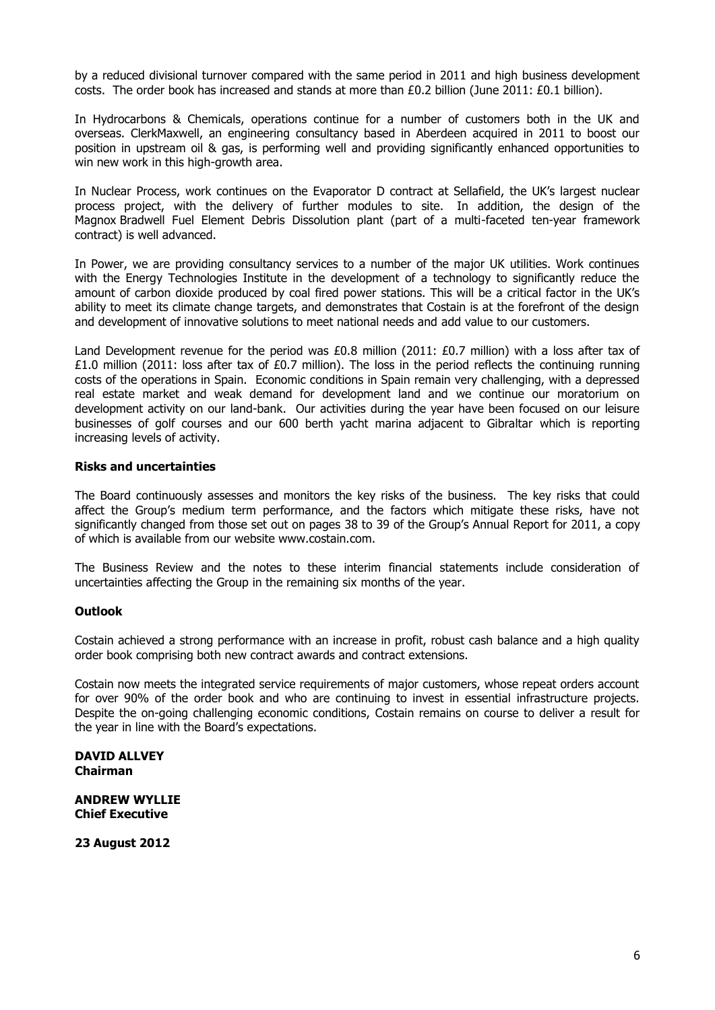by a reduced divisional turnover compared with the same period in 2011 and high business development costs. The order book has increased and stands at more than  $£0.2$  billion (June 2011:  $£0.1$  billion).

In Hydrocarbons & Chemicals, operations continue for a number of customers both in the UK and overseas. ClerkMaxwell, an engineering consultancy based in Aberdeen acquired in 2011 to boost our position in upstream oil & gas, is performing well and providing significantly enhanced opportunities to win new work in this high-growth area.

In Nuclear Process, work continues on the Evaporator D contract at Sellafield, the UK's largest nuclear process project, with the delivery of further modules to site. In addition, the design of the Magnox Bradwell Fuel Element Debris Dissolution plant (part of a multi-faceted ten-year framework contract) is well advanced.

In Power, we are providing consultancy services to a number of the major UK utilities. Work continues with the Energy Technologies Institute in the development of a technology to significantly reduce the amount of carbon dioxide produced by coal fired power stations. This will be a critical factor in the UK's ability to meet its climate change targets, and demonstrates that Costain is at the forefront of the design and development of innovative solutions to meet national needs and add value to our customers.

Land Development revenue for the period was £0.8 million (2011: £0.7 million) with a loss after tax of £1.0 million (2011: loss after tax of £0.7 million). The loss in the period reflects the continuing running costs of the operations in Spain. Economic conditions in Spain remain very challenging, with a depressed real estate market and weak demand for development land and we continue our moratorium on development activity on our land-bank. Our activities during the year have been focused on our leisure businesses of golf courses and our 600 berth yacht marina adjacent to Gibraltar which is reporting increasing levels of activity.

# **Risks and uncertainties**

The Board continuously assesses and monitors the key risks of the business. The key risks that could affect the Group's medium term performance, and the factors which mitigate these risks, have not significantly changed from those set out on pages 38 to 39 of the Group's Annual Report for 2011, a copy of which is available from our website www.costain.com.

The Business Review and the notes to these interim financial statements include consideration of uncertainties affecting the Group in the remaining six months of the year.

### **Outlook**

Costain achieved a strong performance with an increase in profit, robust cash balance and a high quality order book comprising both new contract awards and contract extensions.

Costain now meets the integrated service requirements of major customers, whose repeat orders account for over 90% of the order book and who are continuing to invest in essential infrastructure projects. Despite the on-going challenging economic conditions, Costain remains on course to deliver a result for the year in line with the Board's expectations.

**DAVID ALLVEY Chairman**

**ANDREW WYLLIE Chief Executive**

**23 August 2012**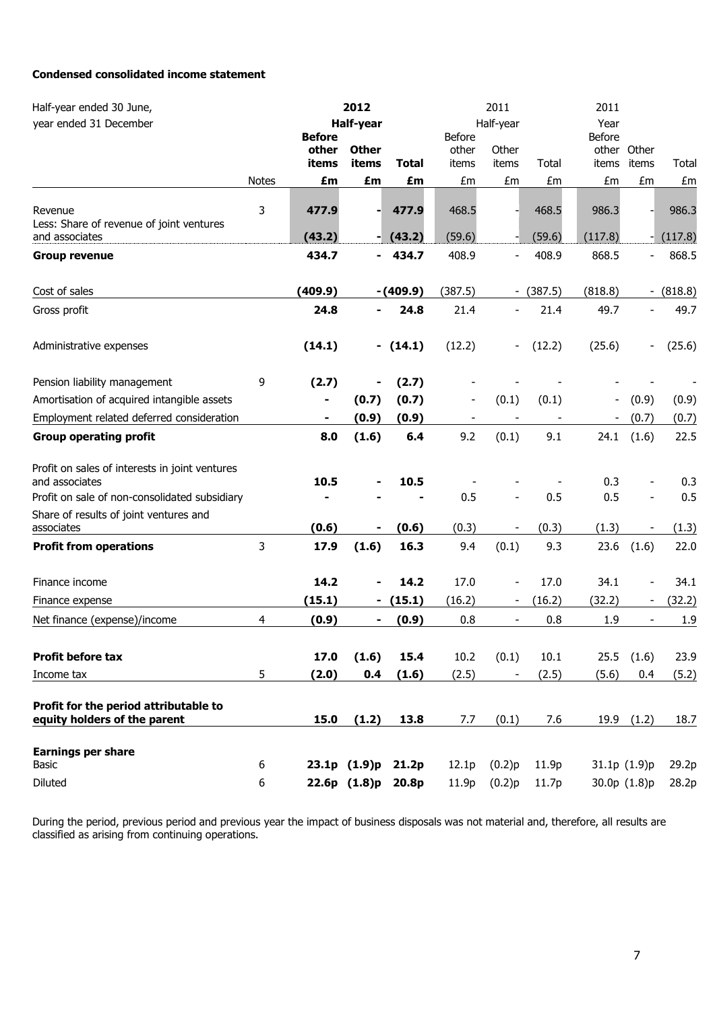# **Condensed consolidated income statement**

| Half-year ended 30 June,                       |                                   |         | 2012           |              |               | 2011                     |            | 2011          |              |             |
|------------------------------------------------|-----------------------------------|---------|----------------|--------------|---------------|--------------------------|------------|---------------|--------------|-------------|
| year ended 31 December                         | <b>Half-year</b><br><b>Before</b> |         | Half-year      |              | Year          |                          |            |               |              |             |
|                                                |                                   |         |                |              | <b>Before</b> |                          |            | <b>Before</b> |              |             |
|                                                |                                   | other   | <b>Other</b>   |              | other         | Other                    |            |               | other Other  |             |
|                                                |                                   | items   | items          | <b>Total</b> | items         | items                    | Total      | items         | items        | Total       |
|                                                | <b>Notes</b>                      | £m      | £m             | £m           | £m            | £m                       | £m         | £m            | £m           | £m          |
| Revenue                                        | 3                                 | 477.9   |                | 477.9        | 468.5         |                          | 468.5      | 986.3         |              | 986.3       |
| Less: Share of revenue of joint ventures       |                                   |         |                |              |               |                          |            |               |              |             |
| and associates                                 |                                   | (43.2)  |                | (43.2)       | (59.6)        |                          | (59.6)     | (117.8)       |              | (117.8)     |
| Group revenue                                  |                                   | 434.7   |                | 434.7        | 408.9         |                          | 408.9      | 868.5         |              | 868.5       |
| Cost of sales                                  |                                   | (409.9) |                | $-(409.9)$   | (387.5)       |                          | $-(387.5)$ | (818.8)       |              | $-$ (818.8) |
| Gross profit                                   |                                   | 24.8    |                | 24.8         | 21.4          |                          | 21.4       | 49.7          |              | 49.7        |
|                                                |                                   |         |                |              |               |                          |            |               |              |             |
| Administrative expenses                        |                                   | (14.1)  | $\sim$         | (14.1)       | (12.2)        | -                        | (12.2)     | (25.6)        |              | (25.6)      |
|                                                |                                   |         |                |              |               |                          |            |               |              |             |
| Pension liability management                   | 9                                 | (2.7)   |                | (2.7)        |               |                          |            |               |              |             |
| Amortisation of acquired intangible assets     |                                   |         | (0.7)          | (0.7)        |               | (0.1)                    | (0.1)      |               | (0.9)        | (0.9)       |
| Employment related deferred consideration      |                                   |         | (0.9)          | (0.9)        |               |                          |            |               | (0.7)        | (0.7)       |
| <b>Group operating profit</b>                  |                                   | 8.0     | (1.6)          | 6.4          | 9.2           | (0.1)                    | 9.1        | 24.1          | (1.6)        | 22.5        |
| Profit on sales of interests in joint ventures |                                   |         |                |              |               |                          |            |               |              |             |
| and associates                                 |                                   | 10.5    |                | 10.5         |               |                          |            | 0.3           |              | 0.3         |
| Profit on sale of non-consolidated subsidiary  |                                   |         |                |              | 0.5           |                          | 0.5        | 0.5           |              | 0.5         |
| Share of results of joint ventures and         |                                   |         |                |              |               |                          |            |               |              |             |
| associates                                     |                                   | (0.6)   | $\blacksquare$ | (0.6)        | (0.3)         | $\overline{\phantom{a}}$ | (0.3)      | (1.3)         |              | (1.3)       |
| <b>Profit from operations</b>                  | 3                                 | 17.9    | (1.6)          | 16.3         | 9.4           | (0.1)                    | 9.3        | 23.6          | (1.6)        | 22.0        |
| Finance income                                 |                                   | 14.2    |                | 14.2         | 17.0          | $\overline{\phantom{a}}$ | 17.0       | 34.1          |              | 34.1        |
| Finance expense                                |                                   | (15.1)  | $\blacksquare$ | (15.1)       | (16.2)        | $\overline{\phantom{a}}$ | (16.2)     | (32.2)        |              | (32.2)      |
| Net finance (expense)/income                   | 4                                 | (0.9)   | ٠              | (0.9)        | 0.8           | $\overline{\phantom{a}}$ | 0.8        | 1.9           |              | 1.9         |
| Profit before tax                              |                                   | 17.0    |                |              |               |                          |            |               |              |             |
|                                                |                                   |         | (1.6)          | 15.4         | 10.2          | (0.1)                    | 10.1       | 25.5          | (1.6)        | 23.9        |
| Income tax                                     | 5                                 | (2.0)   | 0.4            | (1.6)        | (2.5)         |                          | (2.5)      | (5.6)         | 0.4          | (5.2)       |
| Profit for the period attributable to          |                                   |         |                |              |               |                          |            |               |              |             |
| equity holders of the parent                   |                                   | 15.0    | (1.2)          | 13.8         | 7.7           | (0.1)                    | 7.6        | 19.9          | (1.2)        | 18.7        |
| <b>Earnings per share</b>                      |                                   |         |                |              |               |                          |            |               |              |             |
| Basic                                          | 6                                 |         | 23.1p(1.9)p    | 21.2p        | 12.1p         | (0.2)p                   | 11.9p      |               | 31.1p(1.9)p  | 29.2p       |
| <b>Diluted</b>                                 | $\boldsymbol{6}$                  |         | 22.6p (1.8)p   | 20.8p        | 11.9p         | (0.2)p                   | 11.7p      |               | 30.0p (1.8)p | 28.2p       |

During the period, previous period and previous year the impact of business disposals was not material and, therefore, all results are classified as arising from continuing operations.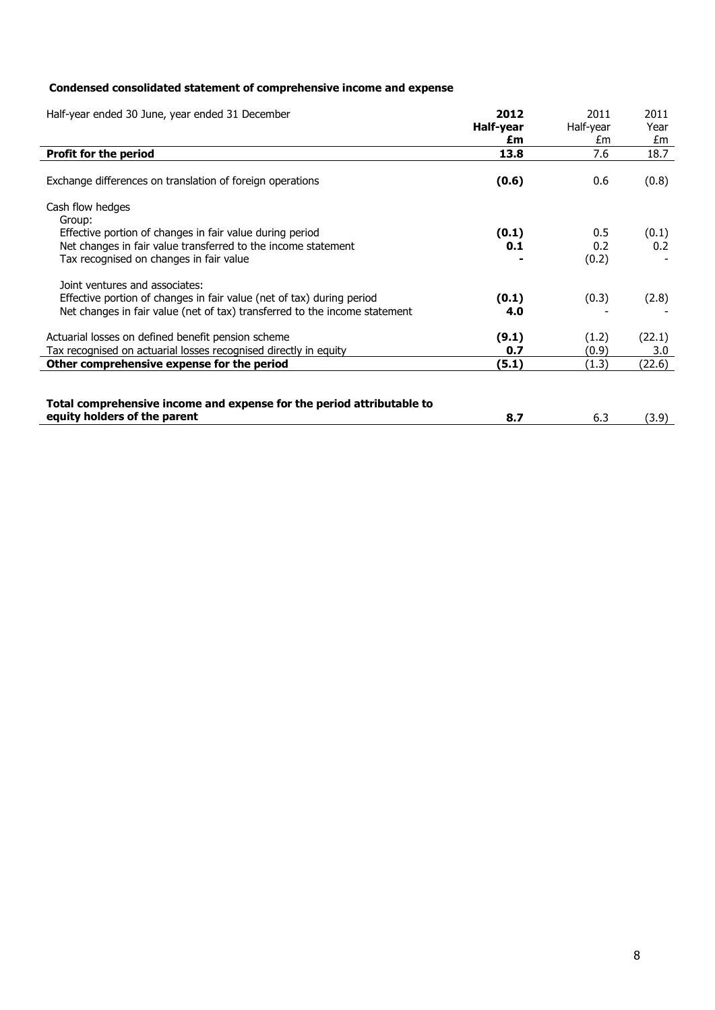# **Condensed consolidated statement of comprehensive income and expense**

| Half-year ended 30 June, year ended 31 December                                                                                                                                       | 2012<br>Half-year<br>£m | 2011<br>Half-year<br>£m | 2011<br>Year<br>£m |
|---------------------------------------------------------------------------------------------------------------------------------------------------------------------------------------|-------------------------|-------------------------|--------------------|
| Profit for the period                                                                                                                                                                 | 13.8                    | 7.6                     | 18.7               |
| Exchange differences on translation of foreign operations                                                                                                                             | (0.6)                   | 0.6                     | (0.8)              |
| Cash flow hedges                                                                                                                                                                      |                         |                         |                    |
| Group:<br>Effective portion of changes in fair value during period<br>Net changes in fair value transferred to the income statement<br>Tax recognised on changes in fair value        | (0.1)<br>0.1            | 0.5<br>0.2<br>(0.2)     | (0.1)<br>0.2       |
| Joint ventures and associates:<br>Effective portion of changes in fair value (net of tax) during period<br>Net changes in fair value (net of tax) transferred to the income statement | (0.1)<br>4.0            | (0.3)                   | (2.8)              |
| Actuarial losses on defined benefit pension scheme<br>Tax recognised on actuarial losses recognised directly in equity                                                                | (9.1)<br>0.7            | (1.2)<br>(0.9)          | (22.1)<br>3.0      |
| Other comprehensive expense for the period                                                                                                                                            | (5.1)                   | (1.3)                   | (22.6)             |
| Total comprehensive income and expense for the period attributable to<br>equity holders of the parent                                                                                 | 8.7                     | 6.3                     | (3.9)              |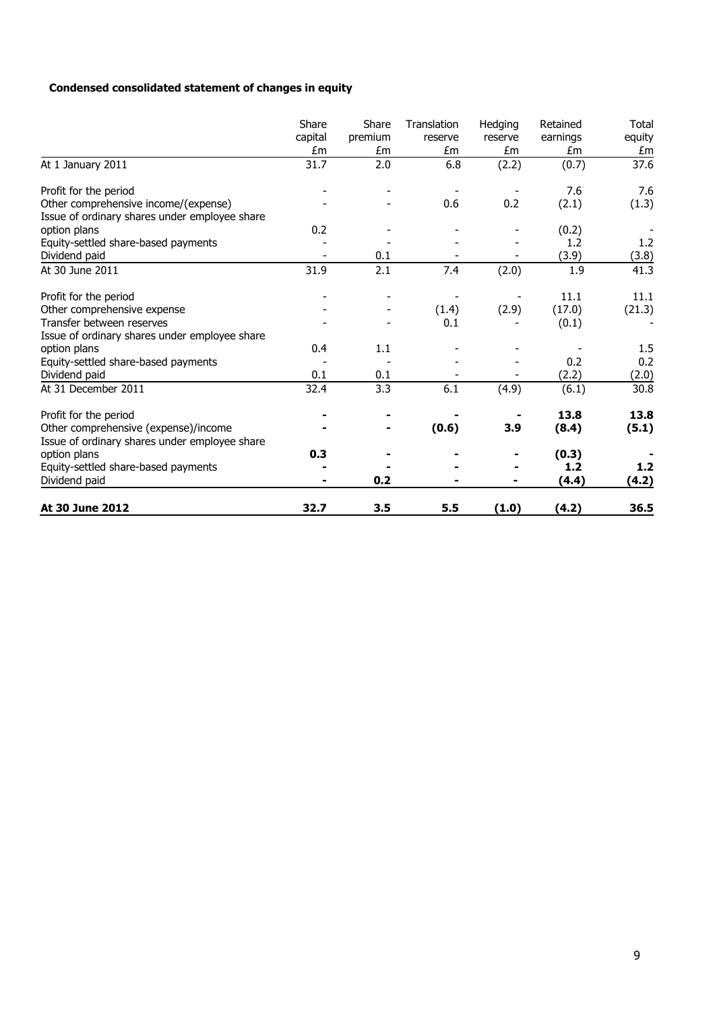# **Condensed consolidated statement of changes in equity**

|                                               | Share   | Share   | Translation | Hedging | Retained | Total  |
|-----------------------------------------------|---------|---------|-------------|---------|----------|--------|
|                                               | capital | premium | reserve     | reserve | earnings | equity |
|                                               | £m      | £m      | £m          | £m      | £m       | £m     |
| At 1 January 2011                             | 31.7    | 2.0     | 6.8         | (2.2)   | (0.7)    | 37.6   |
| Profit for the period                         |         |         |             |         | 7.6      | 7.6    |
| Other comprehensive income/(expense)          |         |         | 0.6         | 0.2     | (2.1)    | (1.3)  |
| Issue of ordinary shares under employee share |         |         |             |         |          |        |
| option plans                                  | 0.2     |         |             |         | (0.2)    |        |
| Equity-settled share-based payments           |         |         |             |         | 1.2      | 1.2    |
| Dividend paid                                 |         | 0.1     |             |         | (3.9)    | (3.8)  |
| At 30 June 2011                               | 31.9    | 2.1     | 7.4         | (2.0)   | 1.9      | 41.3   |
| Profit for the period                         |         |         |             |         | 11.1     | 11.1   |
| Other comprehensive expense                   |         |         | (1.4)       | (2.9)   | (17.0)   | (21.3) |
| Transfer between reserves                     |         |         | 0.1         |         | (0.1)    |        |
| Issue of ordinary shares under employee share |         |         |             |         |          |        |
| option plans                                  | 0.4     | 1.1     |             |         |          | 1.5    |
| Equity-settled share-based payments           |         |         |             |         | 0.2      | 0.2    |
| Dividend paid                                 | 0.1     | 0.1     |             |         | (2.2)    | (2.0)  |
| At 31 December 2011                           | 32.4    | 3.3     | 6.1         | (4.9)   | (6.1)    | 30.8   |
| Profit for the period                         |         |         |             |         | 13.8     | 13.8   |
| Other comprehensive (expense)/income          |         |         | (0.6)       | 3.9     | (8.4)    | (5.1)  |
| Issue of ordinary shares under employee share |         |         |             |         |          |        |
| option plans                                  | 0.3     |         |             |         | (0.3)    |        |
| Equity-settled share-based payments           |         |         |             |         | 1.2      | 1.2    |
| Dividend paid                                 |         | 0.2     |             |         | (4.4)    | (4.2)  |
| At 30 June 2012                               | 32.7    | 3.5     | 5.5         | (1.0)   | (4.2)    | 36.5   |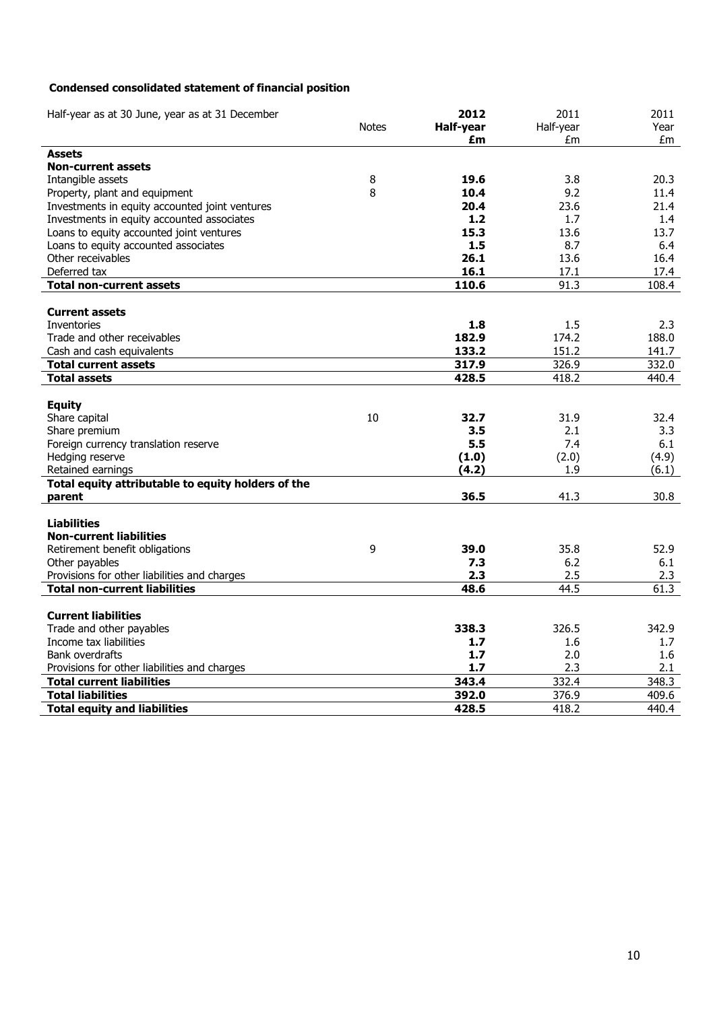# **Condensed consolidated statement of financial position**

| Half-year as at 30 June, year as at 31 December    |              | 2012      | 2011      | 2011  |
|----------------------------------------------------|--------------|-----------|-----------|-------|
|                                                    | <b>Notes</b> | Half-year | Half-year | Year  |
|                                                    |              | £m        | £m        | £m    |
| Assets                                             |              |           |           |       |
| <b>Non-current assets</b>                          |              |           |           |       |
| Intangible assets                                  | 8            | 19.6      | 3.8       | 20.3  |
| Property, plant and equipment                      | 8            | 10.4      | 9.2       | 11.4  |
| Investments in equity accounted joint ventures     |              | 20.4      | 23.6      | 21.4  |
| Investments in equity accounted associates         |              | $1.2$     | 1.7       | 1.4   |
| Loans to equity accounted joint ventures           |              | 15.3      | 13.6      | 13.7  |
| Loans to equity accounted associates               |              | 1.5       | 8.7       | 6.4   |
| Other receivables                                  |              | 26.1      | 13.6      | 16.4  |
| Deferred tax                                       |              | 16.1      | 17.1      | 17.4  |
| <b>Total non-current assets</b>                    |              | 110.6     | 91.3      | 108.4 |
|                                                    |              |           |           |       |
| <b>Current assets</b>                              |              |           |           |       |
| <b>Inventories</b>                                 |              | 1.8       | 1.5       | 2.3   |
| Trade and other receivables                        |              | 182.9     | 174.2     | 188.0 |
| Cash and cash equivalents                          |              | 133.2     | 151.2     | 141.7 |
| <b>Total current assets</b>                        |              | 317.9     | 326.9     | 332.0 |
| <b>Total assets</b>                                |              | 428.5     | 418.2     | 440.4 |
|                                                    |              |           |           |       |
| <b>Equity</b>                                      |              |           |           |       |
| Share capital                                      | 10           | 32.7      | 31.9      | 32.4  |
| Share premium                                      |              | 3.5       | 2.1       | 3.3   |
| Foreign currency translation reserve               |              | 5.5       | 7.4       | 6.1   |
| Hedging reserve                                    |              | (1.0)     | (2.0)     | (4.9) |
| Retained earnings                                  |              | (4.2)     | 1.9       | (6.1) |
| Total equity attributable to equity holders of the |              |           |           |       |
| parent                                             |              | 36.5      | 41.3      | 30.8  |
| <b>Liabilities</b>                                 |              |           |           |       |
| <b>Non-current liabilities</b>                     |              |           |           |       |
| Retirement benefit obligations                     | 9            | 39.0      | 35.8      | 52.9  |
| Other payables                                     |              | 7.3       | 6.2       | 6.1   |
| Provisions for other liabilities and charges       |              | 2.3       | 2.5       | 2.3   |
| <b>Total non-current liabilities</b>               |              | 48.6      | 44.5      | 61.3  |
|                                                    |              |           |           |       |
| <b>Current liabilities</b>                         |              |           |           |       |
| Trade and other payables                           |              | 338.3     | 326.5     | 342.9 |
| Income tax liabilities                             |              | 1.7       | 1.6       | 1.7   |
| Bank overdrafts                                    |              | 1.7       | 2.0       | 1.6   |
| Provisions for other liabilities and charges       |              | $1.7$     | 2.3       | 2.1   |
| <b>Total current liabilities</b>                   |              | 343.4     | 332.4     | 348.3 |
| <b>Total liabilities</b>                           |              | 392.0     | 376.9     | 409.6 |
| <b>Total equity and liabilities</b>                |              | 428.5     | 418.2     | 440.4 |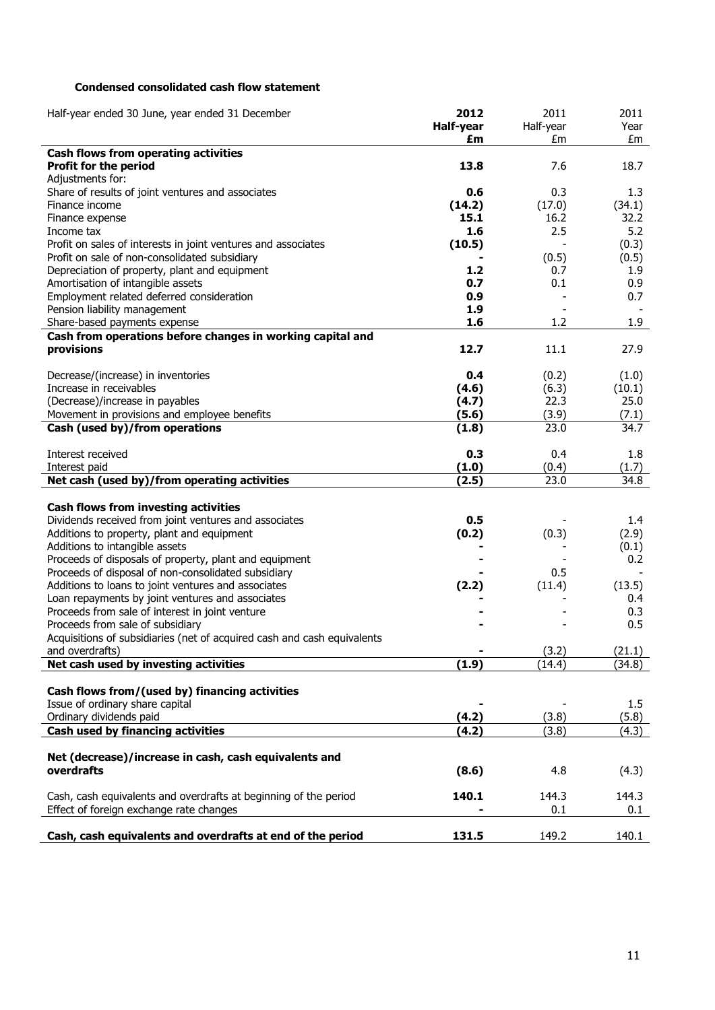# **Condensed consolidated cash flow statement**

| Half-year ended 30 June, year ended 31 December                                          | 2012<br><b>Half-year</b> | 2011<br>Half-year | 2011<br>Year     |
|------------------------------------------------------------------------------------------|--------------------------|-------------------|------------------|
|                                                                                          | £m                       | £m                | £m               |
| <b>Cash flows from operating activities</b>                                              |                          |                   |                  |
| <b>Profit for the period</b>                                                             | 13.8                     | 7.6               | 18.7             |
| Adjustments for:                                                                         |                          |                   |                  |
| Share of results of joint ventures and associates                                        | 0.6                      | 0.3               | $1.3\phantom{0}$ |
| Finance income<br>Finance expense                                                        | (14.2)<br>15.1           | (17.0)<br>16.2    | (34.1)<br>32.2   |
| Income tax                                                                               | 1.6                      | 2.5               | 5.2              |
| Profit on sales of interests in joint ventures and associates                            | (10.5)                   |                   | (0.3)            |
| Profit on sale of non-consolidated subsidiary                                            |                          | (0.5)             | (0.5)            |
| Depreciation of property, plant and equipment                                            | 1.2                      | 0.7               | 1.9              |
| Amortisation of intangible assets                                                        | 0.7                      | 0.1               | 0.9              |
| Employment related deferred consideration                                                | 0.9                      |                   | 0.7              |
| Pension liability management                                                             | 1.9                      |                   |                  |
| Share-based payments expense                                                             | 1.6                      | 1.2               | 1.9              |
| Cash from operations before changes in working capital and                               |                          |                   |                  |
| provisions                                                                               | 12.7                     | 11.1              | 27.9             |
|                                                                                          |                          |                   |                  |
| Decrease/(increase) in inventories<br>Increase in receivables                            | 0.4<br>(4.6)             | (0.2)<br>(6.3)    | (1.0)            |
| (Decrease)/increase in payables                                                          | (4.7)                    | 22.3              | (10.1)<br>25.0   |
| Movement in provisions and employee benefits                                             | (5.6)                    | (3.9)             | (7.1)            |
| Cash (used by)/from operations                                                           | (1.8)                    | 23.0              | 34.7             |
|                                                                                          |                          |                   |                  |
| Interest received                                                                        | 0.3                      | 0.4               | 1.8              |
| Interest paid                                                                            | (1.0)                    | (0.4)             | (1.7)            |
| Net cash (used by)/from operating activities                                             | (2.5)                    | 23.0              | 34.8             |
|                                                                                          |                          |                   |                  |
| <b>Cash flows from investing activities</b>                                              |                          |                   |                  |
| Dividends received from joint ventures and associates                                    | 0.5                      |                   | 1.4              |
| Additions to property, plant and equipment                                               | (0.2)                    | (0.3)             | (2.9)            |
| Additions to intangible assets<br>Proceeds of disposals of property, plant and equipment |                          |                   | (0.1)<br>0.2     |
| Proceeds of disposal of non-consolidated subsidiary                                      |                          | 0.5               |                  |
| Additions to loans to joint ventures and associates                                      | (2.2)                    | (11.4)            | (13.5)           |
| Loan repayments by joint ventures and associates                                         |                          |                   | 0.4              |
| Proceeds from sale of interest in joint venture                                          |                          |                   | 0.3              |
| Proceeds from sale of subsidiary                                                         |                          |                   | 0.5              |
| Acquisitions of subsidiaries (net of acquired cash and cash equivalents                  |                          |                   |                  |
| and overdrafts)                                                                          |                          | (3.2)             | (21.1)           |
| Net cash used by investing activities                                                    | (1.9)                    | (14.4)            | (34.8)           |
|                                                                                          |                          |                   |                  |
| Cash flows from/(used by) financing activities                                           |                          |                   |                  |
| Issue of ordinary share capital                                                          |                          |                   | $1.5\,$          |
| Ordinary dividends paid<br>Cash used by financing activities                             | (4.2)                    | (3.8)<br>(3.8)    | (5.8)            |
|                                                                                          | (4.2)                    |                   | (4.3)            |
| Net (decrease)/increase in cash, cash equivalents and                                    |                          |                   |                  |
| overdrafts                                                                               | (8.6)                    | 4.8               | (4.3)            |
|                                                                                          |                          |                   |                  |
| Cash, cash equivalents and overdrafts at beginning of the period                         | 140.1                    | 144.3             | 144.3            |
| Effect of foreign exchange rate changes                                                  |                          | 0.1               | 0.1              |
|                                                                                          |                          |                   |                  |
| Cash, cash equivalents and overdrafts at end of the period                               | 131.5                    | 149.2             | 140.1            |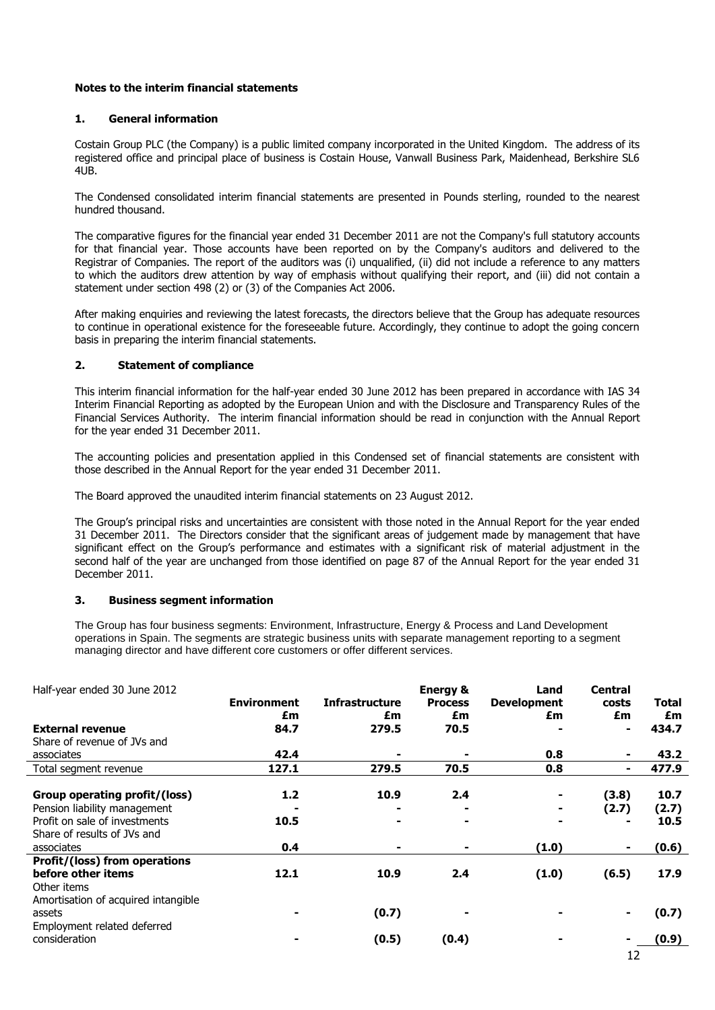## **Notes to the interim financial statements**

### **1. General information**

Costain Group PLC (the Company) is a public limited company incorporated in the United Kingdom. The address of its registered office and principal place of business is Costain House, Vanwall Business Park, Maidenhead, Berkshire SL6 4UB.

The Condensed consolidated interim financial statements are presented in Pounds sterling, rounded to the nearest hundred thousand.

The comparative figures for the financial year ended 31 December 2011 are not the Company's full statutory accounts for that financial year. Those accounts have been reported on by the Company's auditors and delivered to the Registrar of Companies. The report of the auditors was (i) unqualified, (ii) did not include a reference to any matters to which the auditors drew attention by way of emphasis without qualifying their report, and (iii) did not contain a statement under section 498 (2) or (3) of the Companies Act 2006.

After making enquiries and reviewing the latest forecasts, the directors believe that the Group has adequate resources to continue in operational existence for the foreseeable future. Accordingly, they continue to adopt the going concern basis in preparing the interim financial statements.

### **2. Statement of compliance**

This interim financial information for the half-year ended 30 June 2012 has been prepared in accordance with IAS 34 Interim Financial Reporting as adopted by the European Union and with the Disclosure and Transparency Rules of the Financial Services Authority. The interim financial information should be read in conjunction with the Annual Report for the year ended 31 December 2011.

The accounting policies and presentation applied in this Condensed set of financial statements are consistent with those described in the Annual Report for the year ended 31 December 2011.

The Board approved the unaudited interim financial statements on 23 August 2012.

The Group's principal risks and uncertainties are consistent with those noted in the Annual Report for the year ended 31 December 2011. The Directors consider that the significant areas of judgement made by management that have significant effect on the Group's performance and estimates with a significant risk of material adjustment in the second half of the year are unchanged from those identified on page 87 of the Annual Report for the year ended 31 December 2011.

### **3. Business segment information**

The Group has four business segments: Environment, Infrastructure, Energy & Process and Land Development operations in Spain. The segments are strategic business units with separate management reporting to a segment managing director and have different core customers or offer different services.

| Half-year ended 30 June 2012        | <b>Environment</b><br>£m | <b>Infrastructure</b><br>£m | <b>Energy &amp;</b><br><b>Process</b><br>£m | Land<br><b>Development</b><br>£m | <b>Central</b><br>costs<br>£m | Total<br>£m |
|-------------------------------------|--------------------------|-----------------------------|---------------------------------------------|----------------------------------|-------------------------------|-------------|
| <b>External revenue</b>             | 84.7                     | 279.5                       | 70.5                                        |                                  |                               | 434.7       |
| Share of revenue of JVs and         |                          |                             |                                             |                                  |                               |             |
| associates                          | 42.4                     |                             |                                             | 0.8                              | ۰                             | 43.2        |
| Total segment revenue               | 127.1                    | 279.5                       | 70.5                                        | 0.8                              | ۰.                            | 477.9       |
|                                     |                          |                             |                                             |                                  |                               |             |
| Group operating profit/(loss)       | 1.2                      | 10.9                        | 2.4                                         |                                  | (3.8)                         | 10.7        |
| Pension liability management        |                          |                             |                                             |                                  | (2.7)                         | (2.7)       |
| Profit on sale of investments       | 10.5                     |                             |                                             |                                  |                               | 10.5        |
| Share of results of JVs and         |                          |                             |                                             |                                  |                               |             |
| associates                          | 0.4                      |                             |                                             | (1.0)                            | ۰                             | (0.6)       |
| Profit/(loss) from operations       |                          |                             |                                             |                                  |                               |             |
| before other items                  | 12.1                     | 10.9                        | 2.4                                         | (1.0)                            | (6.5)                         | 17.9        |
| Other items                         |                          |                             |                                             |                                  |                               |             |
| Amortisation of acquired intangible |                          |                             |                                             |                                  |                               |             |
| assets                              |                          | (0.7)                       |                                             |                                  |                               | (0.7)       |
| Employment related deferred         |                          |                             |                                             |                                  |                               |             |
| consideration                       |                          | (0.5)                       | (0.4)                                       |                                  |                               | (0.9)       |
|                                     |                          |                             |                                             |                                  | 12                            |             |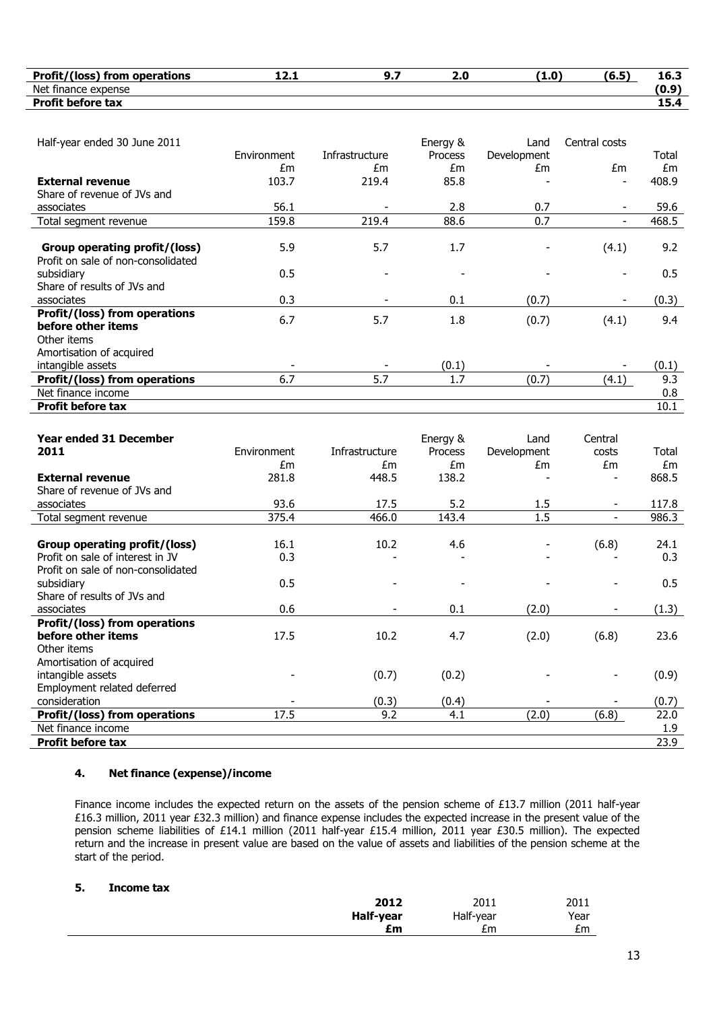| Profit/(loss) from operations        | 12.1        | 9.7              | 2.0            | (1.0)       | (6.5)                    | 16.3        |
|--------------------------------------|-------------|------------------|----------------|-------------|--------------------------|-------------|
| Net finance expense                  |             |                  |                |             |                          | (0.9)       |
| <b>Profit before tax</b>             |             |                  |                |             |                          | 15.4        |
|                                      |             |                  |                |             |                          |             |
|                                      |             |                  |                |             |                          |             |
| Half-year ended 30 June 2011         |             |                  | Energy &       | Land        | Central costs            |             |
|                                      | Environment | Infrastructure   | Process        | Development |                          | Total       |
|                                      | £m          | £m               | £m             | £m          | £m                       | £m          |
| <b>External revenue</b>              | 103.7       | 219.4            | 85.8           |             |                          | 408.9       |
| Share of revenue of JVs and          |             |                  |                |             |                          |             |
| associates                           | 56.1        |                  | 2.8            | 0.7         |                          | 59.6        |
| Total segment revenue                | 159.8       | 219.4            | 88.6           | 0.7         |                          | 468.5       |
|                                      |             |                  |                |             |                          |             |
| Group operating profit/(loss)        | 5.9         | 5.7              | 1.7            |             | (4.1)                    | 9.2         |
| Profit on sale of non-consolidated   |             |                  |                |             |                          |             |
| subsidiary                           | 0.5         |                  |                |             |                          | 0.5         |
| Share of results of JVs and          |             |                  |                |             |                          |             |
| associates                           | 0.3         |                  | 0.1            | (0.7)       |                          | (0.3)       |
| Profit/(loss) from operations        | 6.7         | 5.7              | 1.8            | (0.7)       | (4.1)                    | 9.4         |
| before other items                   |             |                  |                |             |                          |             |
| Other items                          |             |                  |                |             |                          |             |
| Amortisation of acquired             |             |                  |                |             |                          |             |
| intangible assets                    |             |                  | (0.1)          |             |                          | (0.1)       |
| Profit/(loss) from operations        | 6.7         | $\overline{5.7}$ | 1.7            | (0.7)       | (4.1)                    | 9.3         |
| Net finance income                   |             |                  |                |             |                          | 0.8         |
| Profit before tax                    |             |                  |                |             |                          | 10.1        |
|                                      |             |                  |                |             |                          |             |
| <b>Year ended 31 December</b>        |             |                  | Energy &       | Land        | Central                  |             |
| 2011                                 | Environment | Infrastructure   | <b>Process</b> | Development | costs                    | Total       |
|                                      | £m          | £m               | £m             | £m          | £m                       | £m          |
| <b>External revenue</b>              | 281.8       | 448.5            | 138.2          |             |                          | 868.5       |
| Share of revenue of JVs and          |             |                  |                |             |                          |             |
| associates                           | 93.6        | 17.5             | 5.2            | 1.5         | $\overline{\phantom{a}}$ | 117.8       |
| Total segment revenue                | 375.4       | 466.0            | 143.4          | 1.5         | $\overline{\phantom{a}}$ | 986.3       |
|                                      |             |                  |                |             |                          |             |
| Group operating profit/(loss)        | 16.1        | 10.2             | 4.6            |             | (6.8)                    | 24.1        |
| Profit on sale of interest in JV     | 0.3         |                  |                |             |                          | 0.3         |
| Profit on sale of non-consolidated   |             |                  |                |             |                          |             |
| subsidiary                           | 0.5         |                  |                |             |                          | 0.5         |
| Share of results of JVs and          |             |                  |                |             |                          |             |
| associates                           | 0.6         |                  | 0.1            | (2.0)       |                          | (1.3)       |
| Profit/(loss) from operations        |             |                  |                |             |                          |             |
| before other items                   | 17.5        | 10.2             | 4.7            | (2.0)       | (6.8)                    | 23.6        |
| Other items                          |             |                  |                |             |                          |             |
| Amortisation of acquired             |             |                  |                |             |                          |             |
| intangible assets                    |             | (0.7)            | (0.2)          |             |                          | (0.9)       |
| Employment related deferred          |             |                  |                |             |                          |             |
| consideration                        |             | (0.3)            | (0.4)          |             |                          | (0.7)       |
| <b>Profit/(loss) from operations</b> | 17.5        | 9.2              | 4.1            | (2.0)       | (6.8)                    | 22.0        |
| Net finance income                   |             |                  |                |             |                          |             |
| Profit before tax                    |             |                  |                |             |                          | 1.9<br>23.9 |
|                                      |             |                  |                |             |                          |             |

# **4. Net finance (expense)/income**

Finance income includes the expected return on the assets of the pension scheme of £13.7 million (2011 half-year £16.3 million, 2011 year £32.3 million) and finance expense includes the expected increase in the present value of the pension scheme liabilities of £14.1 million (2011 half-year £15.4 million, 2011 year £30.5 million). The expected return and the increase in present value are based on the value of assets and liabilities of the pension scheme at the start of the period.

# **5. Income tax**

| 2012      | 2011      | 2011 |
|-----------|-----------|------|
| Half-year | Half-year | Year |
| £m        | £m        | £m   |
|           |           |      |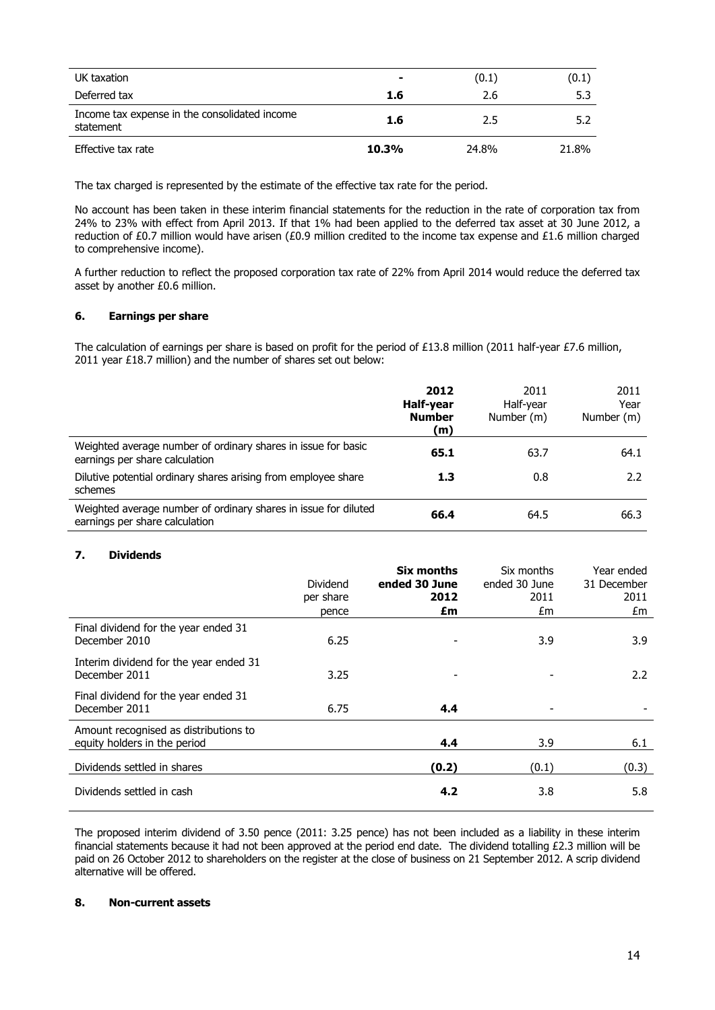| UK taxation                                                | -     | (0.1) | (0.1) |
|------------------------------------------------------------|-------|-------|-------|
| Deferred tax                                               | 1.6   | 2.6   | 5.3   |
| Income tax expense in the consolidated income<br>statement | 1.6   | 2.5   | 5.2   |
| Effective tax rate                                         | 10.3% | 24.8% | 21.8% |

The tax charged is represented by the estimate of the effective tax rate for the period.

No account has been taken in these interim financial statements for the reduction in the rate of corporation tax from 24% to 23% with effect from April 2013. If that 1% had been applied to the deferred tax asset at 30 June 2012, a reduction of £0.7 million would have arisen (£0.9 million credited to the income tax expense and £1.6 million charged to comprehensive income).

A further reduction to reflect the proposed corporation tax rate of 22% from April 2014 would reduce the deferred tax asset by another £0.6 million.

### **6. Earnings per share**

The calculation of earnings per share is based on profit for the period of £13.8 million (2011 half-year £7.6 million, 2011 year £18.7 million) and the number of shares set out below:

|                                                                                                   | 2012<br>Half-year<br><b>Number</b><br>(m) | 2011<br>Half-year<br>Number (m) | 2011<br>Year<br>Number (m) |
|---------------------------------------------------------------------------------------------------|-------------------------------------------|---------------------------------|----------------------------|
| Weighted average number of ordinary shares in issue for basic<br>earnings per share calculation   | 65.1                                      | 63.7                            | 64.1                       |
| Dilutive potential ordinary shares arising from employee share<br>schemes                         | 1.3                                       | 0.8                             | 2.2 <sub>2</sub>           |
| Weighted average number of ordinary shares in issue for diluted<br>earnings per share calculation | 66.4                                      | 64.5                            | 66.3                       |

### **7. Dividends**

|                                                                       | Dividend<br>per share<br>pence | Six months<br>ended 30 June<br>2012<br>£m | Six months<br>ended 30 June<br>2011<br>£m | Year ended<br>31 December<br>2011<br>£m |
|-----------------------------------------------------------------------|--------------------------------|-------------------------------------------|-------------------------------------------|-----------------------------------------|
| Final dividend for the year ended 31<br>December 2010                 | 6.25                           |                                           | 3.9                                       | 3.9                                     |
| Interim dividend for the year ended 31<br>December 2011               | 3.25                           |                                           |                                           | $2.2^{\circ}$                           |
| Final dividend for the year ended 31<br>December 2011                 | 6.75                           | 4.4                                       |                                           |                                         |
| Amount recognised as distributions to<br>equity holders in the period |                                | 4.4                                       | 3.9                                       | 6.1                                     |
| Dividends settled in shares                                           |                                | (0.2)                                     | (0.1)                                     | (0.3)                                   |
| Dividends settled in cash                                             |                                | 4.2                                       | 3.8                                       | 5.8                                     |

The proposed interim dividend of 3.50 pence (2011: 3.25 pence) has not been included as a liability in these interim financial statements because it had not been approved at the period end date. The dividend totalling £2.3 million will be paid on 26 October 2012 to shareholders on the register at the close of business on 21 September 2012. A scrip dividend alternative will be offered.

#### **8. Non-current assets**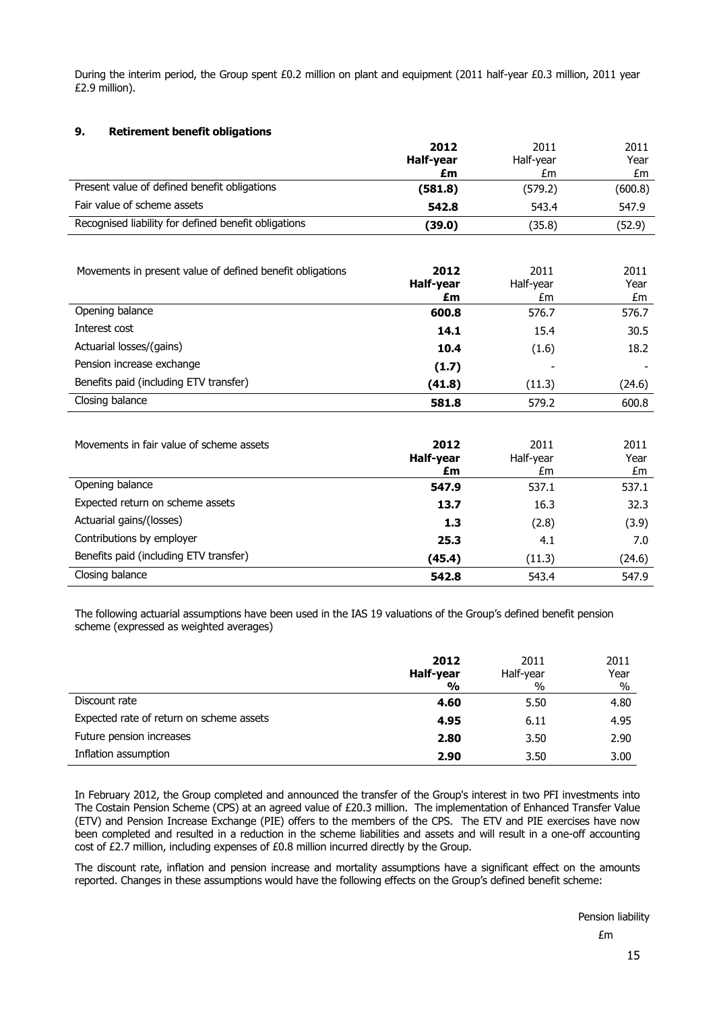During the interim period, the Group spent £0.2 million on plant and equipment (2011 half-year £0.3 million, 2011 year £2.9 million).

## **9. Retirement benefit obligations**

|                                                      | 2012      | 2011      | 2011    |
|------------------------------------------------------|-----------|-----------|---------|
|                                                      | Half-year | Half-year | Year    |
|                                                      | £m        | £m.       | £m.     |
| Present value of defined benefit obligations         | (581.8)   | (579.2)   | (600.8) |
| Fair value of scheme assets                          | 542.8     | 543.4     | 547.9   |
| Recognised liability for defined benefit obligations | (39.0)    | (35.8)    | (52.9)  |

**2012**

2011

2011

| Movements in present value of defined benefit obligations | 2012<br>Half-year<br>£m | 2011<br>Half-year<br>£m | 2011<br>Year<br>£m |
|-----------------------------------------------------------|-------------------------|-------------------------|--------------------|
| Opening balance                                           | 600.8                   | 576.7                   | 576.7              |
| Interest cost                                             | 14.1                    | 15.4                    | 30.5               |
| Actuarial losses/(gains)                                  | 10.4                    | (1.6)                   | 18.2               |
| Pension increase exchange                                 | (1.7)                   |                         |                    |
| Benefits paid (including ETV transfer)                    | (41.8)                  | (11.3)                  | (24.6)             |
| Closing balance                                           | 581.8                   | 579.2                   | 600.8              |

| Movements in fair value of scheme assets | 2012<br>Half-year<br>£m | 2011<br>Half-year<br>£m | 2011<br>Year<br>£m |
|------------------------------------------|-------------------------|-------------------------|--------------------|
| Opening balance                          | 547.9                   | 537.1                   | 537.1              |
| Expected return on scheme assets         | 13.7                    | 16.3                    | 32.3               |
| Actuarial gains/(losses)                 | 1.3                     | (2.8)                   | (3.9)              |
| Contributions by employer                | 25.3                    | 4.1                     | 7.0                |
| Benefits paid (including ETV transfer)   | (45.4)                  | (11.3)                  | (24.6)             |
| Closing balance                          | 542.8                   | 543.4                   | 547.9              |

The following actuarial assumptions have been used in the IAS 19 valuations of the Group's defined benefit pension scheme (expressed as weighted averages)

|                                          | 2012<br>Half-year<br>$\frac{0}{0}$ | 2011<br>Half-year<br>$\%$ | 2011<br>Year<br>$\%$ |
|------------------------------------------|------------------------------------|---------------------------|----------------------|
| Discount rate                            | 4.60                               | 5.50                      | 4.80                 |
| Expected rate of return on scheme assets | 4.95                               | 6.11                      | 4.95                 |
| Future pension increases                 | 2.80                               | 3.50                      | 2.90                 |
| Inflation assumption                     | 2.90                               | 3.50                      | 3.00                 |

In February 2012, the Group completed and announced the transfer of the Group's interest in two PFI investments into The Costain Pension Scheme (CPS) at an agreed value of £20.3 million. The implementation of Enhanced Transfer Value (ETV) and Pension Increase Exchange (PIE) offers to the members of the CPS. The ETV and PIE exercises have now been completed and resulted in a reduction in the scheme liabilities and assets and will result in a one-off accounting cost of £2.7 million, including expenses of £0.8 million incurred directly by the Group.

The discount rate, inflation and pension increase and mortality assumptions have a significant effect on the amounts reported. Changes in these assumptions would have the following effects on the Group's defined benefit scheme: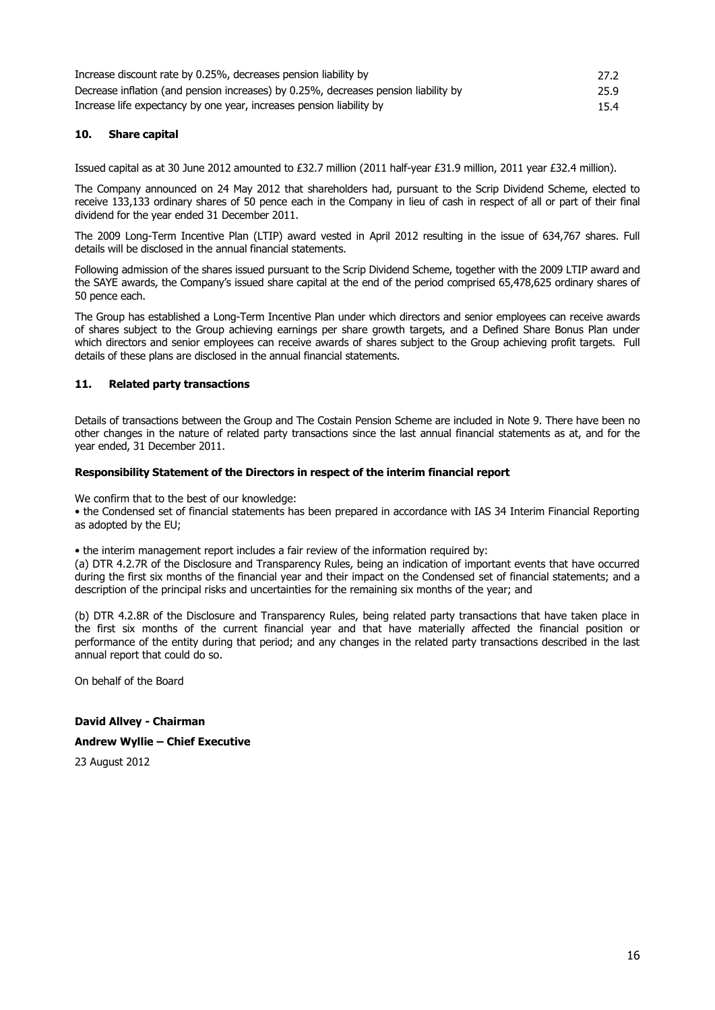| Increase discount rate by 0.25%, decreases pension liability by                     | 27.2 |
|-------------------------------------------------------------------------------------|------|
| Decrease inflation (and pension increases) by 0.25%, decreases pension liability by | 25.9 |
| Increase life expectancy by one year, increases pension liability by                | 15.4 |

# **10. Share capital**

Issued capital as at 30 June 2012 amounted to £32.7 million (2011 half-year £31.9 million, 2011 year £32.4 million).

The Company announced on 24 May 2012 that shareholders had, pursuant to the Scrip Dividend Scheme, elected to receive 133,133 ordinary shares of 50 pence each in the Company in lieu of cash in respect of all or part of their final dividend for the year ended 31 December 2011.

The 2009 Long-Term Incentive Plan (LTIP) award vested in April 2012 resulting in the issue of 634,767 shares. Full details will be disclosed in the annual financial statements.

Following admission of the shares issued pursuant to the Scrip Dividend Scheme, together with the 2009 LTIP award and the SAYE awards, the Company's issued share capital at the end of the period comprised 65,478,625 ordinary shares of 50 pence each.

The Group has established a Long-Term Incentive Plan under which directors and senior employees can receive awards of shares subject to the Group achieving earnings per share growth targets, and a Defined Share Bonus Plan under which directors and senior employees can receive awards of shares subject to the Group achieving profit targets. Full details of these plans are disclosed in the annual financial statements.

### **11. Related party transactions**

Details of transactions between the Group and The Costain Pension Scheme are included in Note 9. There have been no other changes in the nature of related party transactions since the last annual financial statements as at, and for the year ended, 31 December 2011.

### **Responsibility Statement of the Directors in respect of the interim financial report**

We confirm that to the best of our knowledge:

• the Condensed set of financial statements has been prepared in accordance with IAS 34 Interim Financial Reporting as adopted by the EU;

• the interim management report includes a fair review of the information required by:

(a) DTR 4.2.7R of the Disclosure and Transparency Rules, being an indication of important events that have occurred during the first six months of the financial year and their impact on the Condensed set of financial statements; and a description of the principal risks and uncertainties for the remaining six months of the year; and

(b) DTR 4.2.8R of the Disclosure and Transparency Rules, being related party transactions that have taken place in the first six months of the current financial year and that have materially affected the financial position or performance of the entity during that period; and any changes in the related party transactions described in the last annual report that could do so.

On behalf of the Board

# **David Allvey - Chairman Andrew Wyllie – Chief Executive**

23 August 2012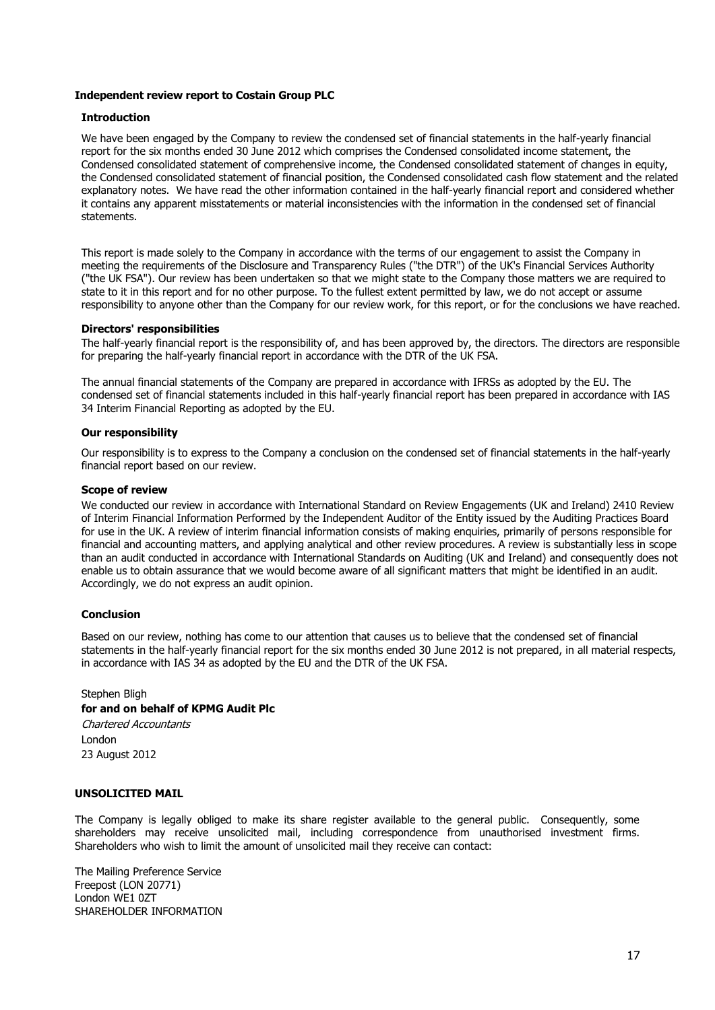#### **Independent review report to Costain Group PLC**

#### **Introduction**

We have been engaged by the Company to review the condensed set of financial statements in the half-yearly financial report for the six months ended 30 June 2012 which comprises the Condensed consolidated income statement, the Condensed consolidated statement of comprehensive income, the Condensed consolidated statement of changes in equity, the Condensed consolidated statement of financial position, the Condensed consolidated cash flow statement and the related explanatory notes. We have read the other information contained in the half-yearly financial report and considered whether it contains any apparent misstatements or material inconsistencies with the information in the condensed set of financial statements.

This report is made solely to the Company in accordance with the terms of our engagement to assist the Company in meeting the requirements of the Disclosure and Transparency Rules ("the DTR") of the UK's Financial Services Authority ("the UK FSA"). Our review has been undertaken so that we might state to the Company those matters we are required to state to it in this report and for no other purpose. To the fullest extent permitted by law, we do not accept or assume responsibility to anyone other than the Company for our review work, for this report, or for the conclusions we have reached.

#### **Directors' responsibilities**

The half-yearly financial report is the responsibility of, and has been approved by, the directors. The directors are responsible for preparing the half-yearly financial report in accordance with the DTR of the UK FSA.

The annual financial statements of the Company are prepared in accordance with IFRSs as adopted by the EU. The condensed set of financial statements included in this half-yearly financial report has been prepared in accordance with IAS 34 Interim Financial Reporting as adopted by the EU.

#### **Our responsibility**

Our responsibility is to express to the Company a conclusion on the condensed set of financial statements in the half-yearly financial report based on our review.

# **Scope of review**

We conducted our review in accordance with International Standard on Review Engagements (UK and Ireland) 2410 Review of Interim Financial Information Performed by the Independent Auditor of the Entity issued by the Auditing Practices Board for use in the UK. A review of interim financial information consists of making enquiries, primarily of persons responsible for financial and accounting matters, and applying analytical and other review procedures. A review is substantially less in scope than an audit conducted in accordance with International Standards on Auditing (UK and Ireland) and consequently does not enable us to obtain assurance that we would become aware of all significant matters that might be identified in an audit. Accordingly, we do not express an audit opinion.

### **Conclusion**

Based on our review, nothing has come to our attention that causes us to believe that the condensed set of financial statements in the half-yearly financial report for the six months ended 30 June 2012 is not prepared, in all material respects, in accordance with IAS 34 as adopted by the EU and the DTR of the UK FSA.

# Stephen Bligh **for and on behalf of KPMG Audit Plc** Chartered Accountants London 23 August 2012

# **UNSOLICITED MAIL**

The Company is legally obliged to make its share register available to the general public. Consequently, some shareholders may receive unsolicited mail, including correspondence from unauthorised investment firms. Shareholders who wish to limit the amount of unsolicited mail they receive can contact:

The Mailing Preference Service Freepost (LON 20771) London WE1 0ZT SHAREHOLDER INFORMATION